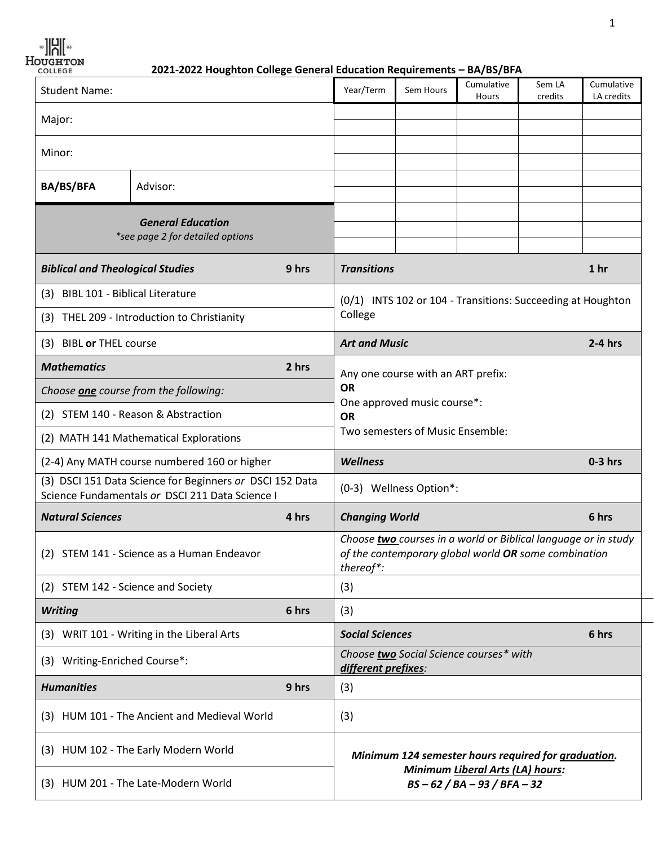$\begin{picture}(20,5) \put(0,0){\line(1,0){18}} \put(15,0){\line(1,0){18}} \put(15,0){\line(1,0){18}} \put(15,0){\line(1,0){18}} \put(15,0){\line(1,0){18}} \put(15,0){\line(1,0){18}} \put(15,0){\line(1,0){18}} \put(15,0){\line(1,0){18}} \put(15,0){\line(1,0){18}} \put(15,0){\line(1,0){18}} \put(15,0){\line(1,0){18}} \put(15,0){\line(1,$ 

*H***OUGHTON**<br> **2021-2022 Houghton College General Education Requirements – BA/BS/BFA** 

| <b>Student Name:</b>                                                                                        |                                            |                                                                                                                                     | Year/Term                          | Sem Hours                                                          | Cumulative<br>Hours | Sem LA<br>credits | Cumulative<br>LA credits |
|-------------------------------------------------------------------------------------------------------------|--------------------------------------------|-------------------------------------------------------------------------------------------------------------------------------------|------------------------------------|--------------------------------------------------------------------|---------------------|-------------------|--------------------------|
| Major:                                                                                                      |                                            |                                                                                                                                     |                                    |                                                                    |                     |                   |                          |
| Minor:                                                                                                      |                                            |                                                                                                                                     |                                    |                                                                    |                     |                   |                          |
|                                                                                                             |                                            |                                                                                                                                     |                                    |                                                                    |                     |                   |                          |
| <b>BA/BS/BFA</b>                                                                                            | Advisor:                                   |                                                                                                                                     |                                    |                                                                    |                     |                   |                          |
| <b>General Education</b><br>*see page 2 for detailed options                                                |                                            |                                                                                                                                     |                                    |                                                                    |                     |                   |                          |
| <b>Biblical and Theological Studies</b>                                                                     |                                            | 9 hrs                                                                                                                               | <b>Transitions</b>                 |                                                                    |                     |                   | 1 <sub>hr</sub>          |
| (3) BIBL 101 - Biblical Literature                                                                          |                                            | (0/1) INTS 102 or 104 - Transitions: Succeeding at Houghton<br>College                                                              |                                    |                                                                    |                     |                   |                          |
| (3) THEL 209 - Introduction to Christianity                                                                 |                                            |                                                                                                                                     |                                    |                                                                    |                     |                   |                          |
| (3) BIBL or THEL course                                                                                     |                                            |                                                                                                                                     | <b>Art and Music</b><br>$2-4$ hrs  |                                                                    |                     |                   |                          |
| <b>Mathematics</b>                                                                                          |                                            | 2 hrs                                                                                                                               | Any one course with an ART prefix: |                                                                    |                     |                   |                          |
| Choose one course from the following:                                                                       |                                            | <b>OR</b><br>One approved music course*:<br><b>OR</b>                                                                               |                                    |                                                                    |                     |                   |                          |
| (2) STEM 140 - Reason & Abstraction                                                                         |                                            |                                                                                                                                     |                                    |                                                                    |                     |                   |                          |
| (2) MATH 141 Mathematical Explorations                                                                      |                                            | Two semesters of Music Ensemble:                                                                                                    |                                    |                                                                    |                     |                   |                          |
| (2-4) Any MATH course numbered 160 or higher                                                                |                                            | <b>Wellness</b>                                                                                                                     |                                    |                                                                    |                     | $0-3$ hrs         |                          |
| (3) DSCI 151 Data Science for Beginners or DSCI 152 Data<br>Science Fundamentals or DSCI 211 Data Science I |                                            |                                                                                                                                     |                                    | (0-3) Wellness Option*:                                            |                     |                   |                          |
| <b>Natural Sciences</b>                                                                                     |                                            | 4 hrs                                                                                                                               | <b>Changing World</b>              |                                                                    |                     | 6 hrs             |                          |
| (2) STEM 141 - Science as a Human Endeavor                                                                  |                                            | Choose two courses in a world or Biblical language or in study<br>of the contemporary global world OR some combination<br>thereof*: |                                    |                                                                    |                     |                   |                          |
| (2) STEM 142 - Science and Society                                                                          |                                            |                                                                                                                                     | (3)                                |                                                                    |                     |                   |                          |
| <b>Writing</b>                                                                                              |                                            | 6 hrs                                                                                                                               | (3)                                |                                                                    |                     |                   |                          |
|                                                                                                             | (3) WRIT 101 - Writing in the Liberal Arts |                                                                                                                                     | <b>Social Sciences</b>             |                                                                    |                     |                   | 6 hrs                    |
| (3) Writing-Enriched Course*:                                                                               |                                            | Choose two Social Science courses* with<br>different prefixes:                                                                      |                                    |                                                                    |                     |                   |                          |
| <b>Humanities</b>                                                                                           |                                            | 9 hrs                                                                                                                               | (3)                                |                                                                    |                     |                   |                          |
| (3) HUM 101 - The Ancient and Medieval World                                                                |                                            | (3)                                                                                                                                 |                                    |                                                                    |                     |                   |                          |
| (3) HUM 102 - The Early Modern World                                                                        |                                            | Minimum 124 semester hours required for graduation.                                                                                 |                                    |                                                                    |                     |                   |                          |
| (3) HUM 201 - The Late-Modern World                                                                         |                                            |                                                                                                                                     |                                    | Minimum Liberal Arts (LA) hours:<br>$BS - 62 / BA - 93 / BFA - 32$ |                     |                   |                          |